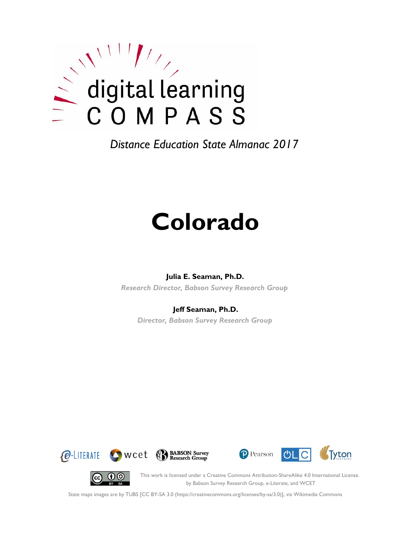

*Distance Education State Almanac 2017*

# **Colorado**

#### **Julia E. Seaman, Ph.D.**

*Research Director, Babson Survey Research Group*

#### **Jeff Seaman, Ph.D.**

*Director, Babson Survey Research Group*









This work is licensed under a Creative Commons Attribution-ShareAlike 4.0 International License. by Babson Survey Research Group, e-Literate, and WCET

State maps images are by TUBS [CC BY-SA 3.0 (https://creativecommons.org/licenses/by-sa/3.0)], via Wikimedia Commons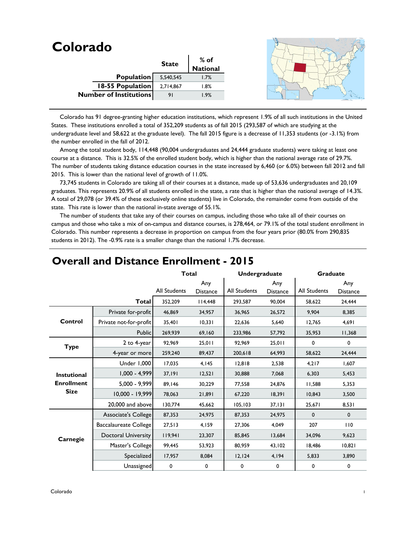| Colorado                      |              |          |  |
|-------------------------------|--------------|----------|--|
|                               | <b>State</b> | $%$ of   |  |
|                               |              | National |  |
| Population                    | 5,540,545    | 1.7%     |  |
| 18-55 Population              | 2,714,867    | 1.8%     |  |
| <b>Number of Institutions</b> | 91           | 1.9%     |  |
|                               |              |          |  |

 Colorado has 91 degree-granting higher education institutions, which represent 1.9% of all such institutions in the United States. These institutions enrolled a total of 352,209 students as of fall 2015 (293,587 of which are studying at the undergraduate level and 58,622 at the graduate level). The fall 2015 figure is a decrease of 11,353 students (or -3.1%) from the number enrolled in the fall of 2012.

 Among the total student body, 114,448 (90,004 undergraduates and 24,444 graduate students) were taking at least one course at a distance. This is 32.5% of the enrolled student body, which is higher than the national average rate of 29.7%. The number of students taking distance education courses in the state increased by 6,460 (or 6.0%) between fall 2012 and fall 2015. This is lower than the national level of growth of 11.0%.

 73,745 students in Colorado are taking all of their courses at a distance, made up of 53,636 undergraduates and 20,109 graduates. This represents 20.9% of all students enrolled in the state, a rate that is higher than the national average of 14.3%. A total of 29,078 (or 39.4% of these exclusively online students) live in Colorado, the remainder come from outside of the state. This rate is lower than the national in-state average of 55.1%.

 The number of students that take any of their courses on campus, including those who take all of their courses on campus and those who take a mix of on-campus and distance courses, is 278,464, or 79.1% of the total student enrollment in Colorado. This number represents a decrease in proportion on campus from the four years prior (80.0% from 290,835 students in 2012). The -0.9% rate is a smaller change than the national 1.7% decrease.

|                    |                        | <b>Total</b> |                        | Undergraduate |                        | <b>Graduate</b> |                        |
|--------------------|------------------------|--------------|------------------------|---------------|------------------------|-----------------|------------------------|
|                    |                        | All Students | Any<br><b>Distance</b> | All Students  | Any<br><b>Distance</b> | All Students    | Any<br><b>Distance</b> |
|                    | <b>Total</b>           | 352,209      | 4,448                  | 293,587       | 90.004                 | 58,622          | 24,444                 |
|                    | Private for-profit     | 46,869       | 34,957                 | 36,965        | 26,572                 | 9.904           | 8,385                  |
| Control            | Private not-for-profit | 35,401       | 10,331                 | 22,636        | 5,640                  | 12,765          | 4,691                  |
|                    | <b>Public</b>          | 269,939      | 69,160                 | 233,986       | 57,792                 | 35,953          | 11,368                 |
| <b>Type</b>        | 2 to 4-year            | 92,969       | 25,011                 | 92,969        | 25,011                 | 0               | 0                      |
|                    | 4-year or more         | 259,240      | 89,437                 | 200,618       | 64,993                 | 58,622          | 24,444                 |
|                    | Under 1,000            | 17,035       | 4,145                  | 12,818        | 2,538                  | 4,217           | 1,607                  |
| <b>Instutional</b> | $1,000 - 4,999$        | 37,191       | 12,521                 | 30,888        | 7,068                  | 6,303           | 5,453                  |
| <b>Enrollment</b>  | $5,000 - 9,999$        | 89,146       | 30,229                 | 77,558        | 24,876                 | 11,588          | 5,353                  |
| <b>Size</b>        | $10,000 - 19,999$      | 78,063       | 21,891                 | 67,220        | 18,391                 | 10,843          | 3,500                  |
|                    | 20,000 and above       | 130,774      | 45,662                 | 105, 103      | 37,131                 | 25,671          | 8,531                  |
|                    | Associate's College    | 87,353       | 24,975                 | 87,353        | 24,975                 | 0               | $\mathbf 0$            |
|                    | Baccalaureate College  | 27,513       | 4,159                  | 27,306        | 4,049                  | 207             | 110                    |
| Carnegie           | Doctoral University    | 119,941      | 23,307                 | 85,845        | 13,684                 | 34,096          | 9,623                  |
|                    | Master's College       | 99,445       | 53,923                 | 80,959        | 43,102                 | 18,486          | 10,821                 |
|                    | Specialized            | 17,957       | 8,084                  | 12,124        | 4,194                  | 5,833           | 3,890                  |
|                    | Unassigned             | 0            | 0                      | 0             | $\pmb{0}$              | 0               | 0                      |

#### **Overall and Distance Enrollment - 2015**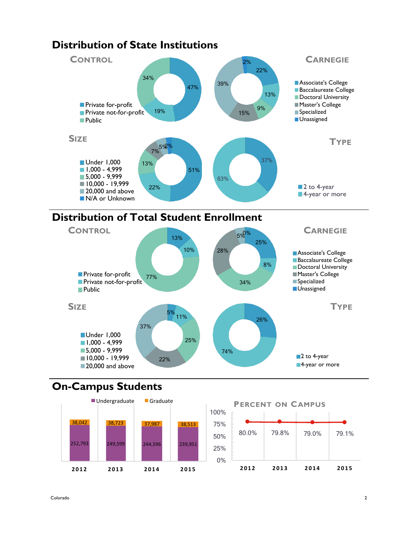

#### **Distribution of Total Student Enrollment**



# **On-Campus Students**



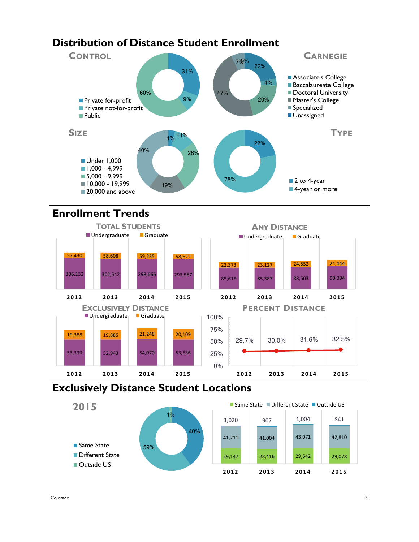# **Distribution of Distance Student Enrollment**



## **Enrollment Trends**



# **Exclusively Distance Student Locations**